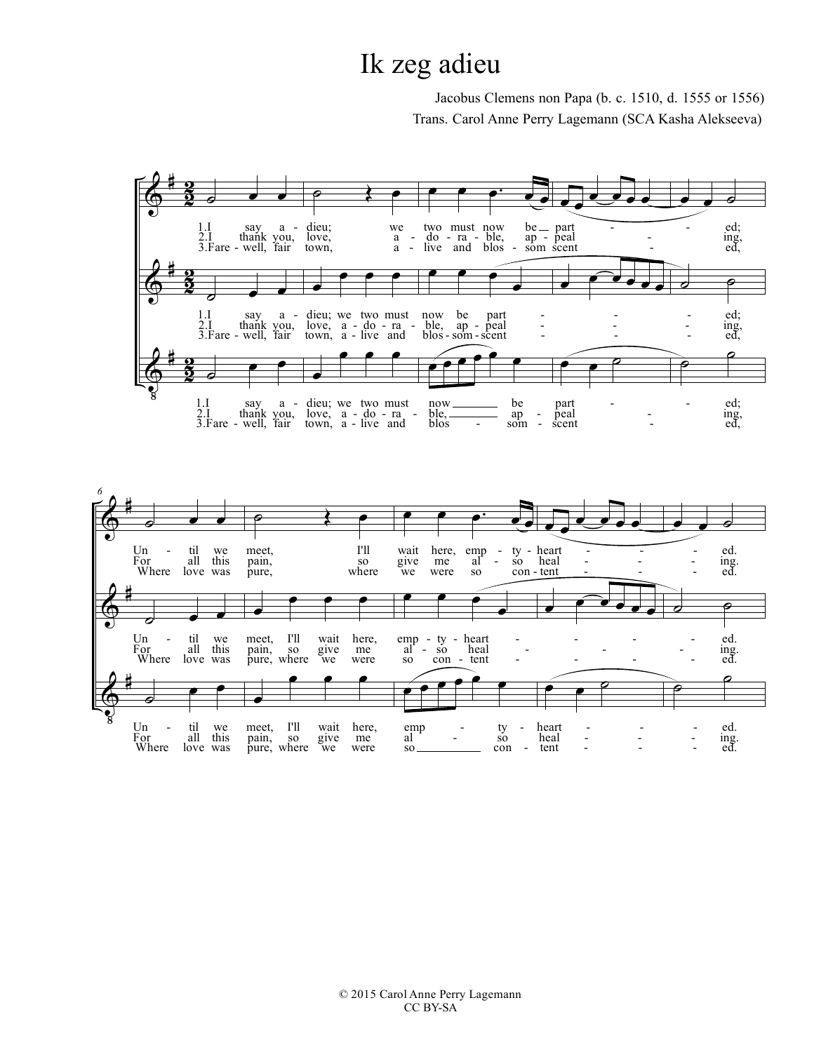## Ik zeg adieu

Jacobus Clemens non Papa (b. c. 1510, d. 1555 or 1556) Trans. Carol Anne Perry Lagemann (SCA Kasha Alekseeva)